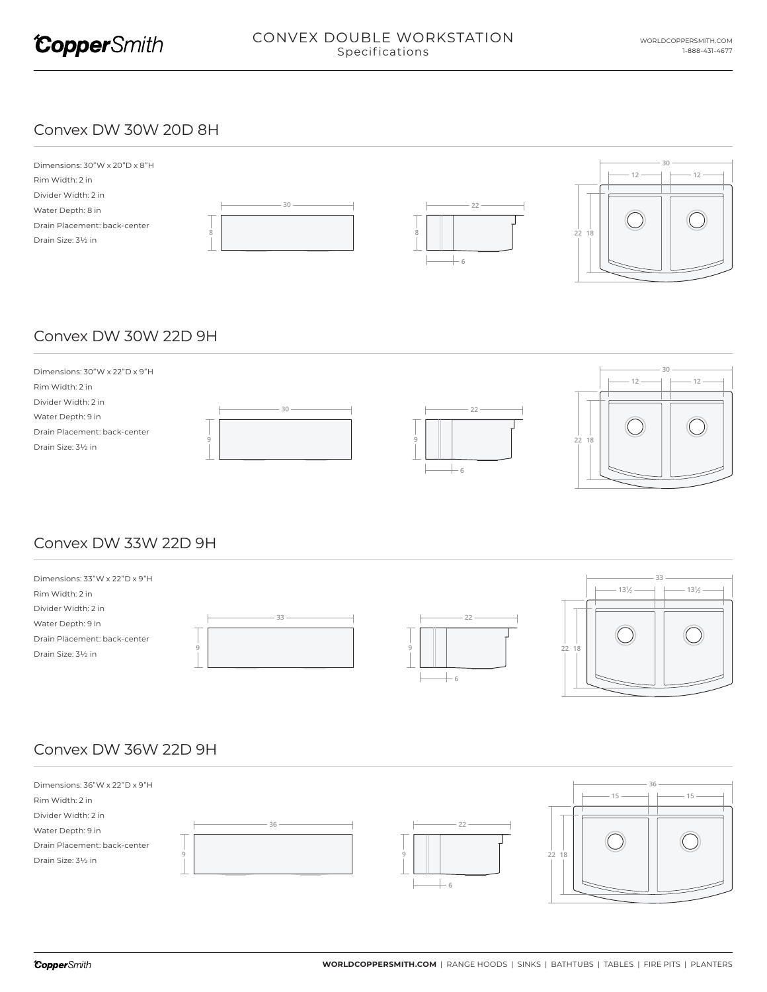

#### Convex DW 30W 20D 8H



## Convex DW 30W 22D 9H



### Convex DW 33W 22D 9H



## Convex DW 36W 22D 9H